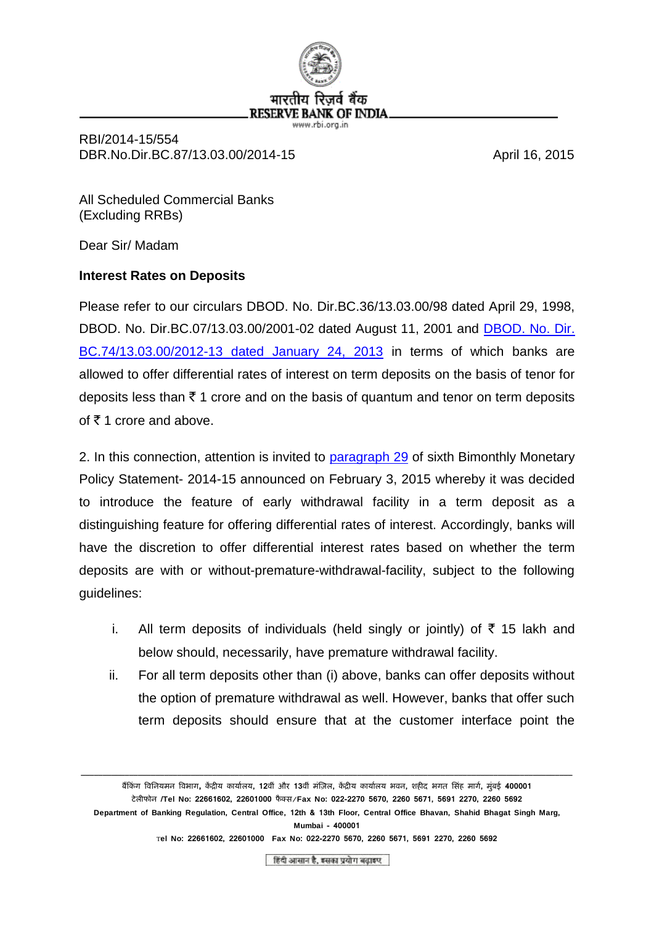

RBI/2014-15/554 DBR.No.Dir.BC.87/13.03.00/2014-15 April 16, 2015

All Scheduled Commercial Banks (Excluding RRBs)

Dear Sir/ Madam

## **Interest Rates on Deposits**

Please refer to our circulars DBOD. No. Dir.BC.36/13.03.00/98 dated April 29, 1998, DBOD. No. Dir.BC.07/13.03.00/2001-02 dated August 11, 2001 and [DBOD. No. Dir.](https://rbi.org.in/Scripts/NotificationUser.aspx?Id=7825&Mode=0)  [BC.74/13.03.00/2012-13 dated January 24, 2013](https://rbi.org.in/Scripts/NotificationUser.aspx?Id=7825&Mode=0) in terms of which banks are allowed to offer differential rates of interest on term deposits on the basis of tenor for deposits less than  $\bar{\tau}$  1 crore and on the basis of quantum and tenor on term deposits of  $\bar{\tau}$  1 crore and above.

2. In this connection, attention is invited to [paragraph 29](https://rbi.org.in/scripts/BS_PressReleaseDisplay.aspx?prid=33144#p29) of sixth Bimonthly Monetary Policy Statement- 2014-15 announced on February 3, 2015 whereby it was decided to introduce the feature of early withdrawal facility in a term deposit as a distinguishing feature for offering differential rates of interest. Accordingly, banks will have the discretion to offer differential interest rates based on whether the term deposits are with or without-premature-withdrawal-facility, subject to the following guidelines:

- i. All term deposits of individuals (held singly or jointly) of  $\bar{\tau}$  15 lakh and below should, necessarily, have premature withdrawal facility.
- ii. For all term deposits other than (i) above, banks can offer deposits without the option of premature withdrawal as well. However, banks that offer such term deposits should ensure that at the customer interface point the

**\_\_\_\_\_\_\_\_\_\_\_\_\_\_\_\_\_\_\_\_\_\_\_\_\_\_\_\_\_\_\_\_\_\_\_\_\_\_\_\_\_\_\_\_\_\_\_\_\_\_\_\_\_\_\_\_\_\_\_\_\_\_\_\_\_\_\_\_\_\_\_\_\_\_\_\_\_\_\_\_\_\_\_\_\_\_\_\_\_\_\_\_\_\_\_\_\_\_\_\_\_\_\_\_\_\_\_\_\_\_\_\_**

हिंदी आसान है, इसका प्रयोग बढ़ाइए

बैंक िं ग विनियमि विभाग**,** ें द्रीय ायाालय**, 12**ि िं और **13**ि िं मिंज़िल**,** ें द्रीय ायाालय भिि**,** शहीद भगत न िंह मागा**,** म िंबई **400001** टेल फोि **/Tel No: 22661602, 22601000** फै क् /**Fax No: 022-2270 5670, 2260 5671, 5691 2270, 2260 5692**  Department of Banking Regulation, Central Office, 12th & 13th Floor, Central Office Bhavan, Shahid Bhagat Singh Marg, **Mumbai - 400001** T**el No: 22661602, 22601000 Fax No: 022-2270 5670, 2260 5671, 5691 2270, 2260 5692**